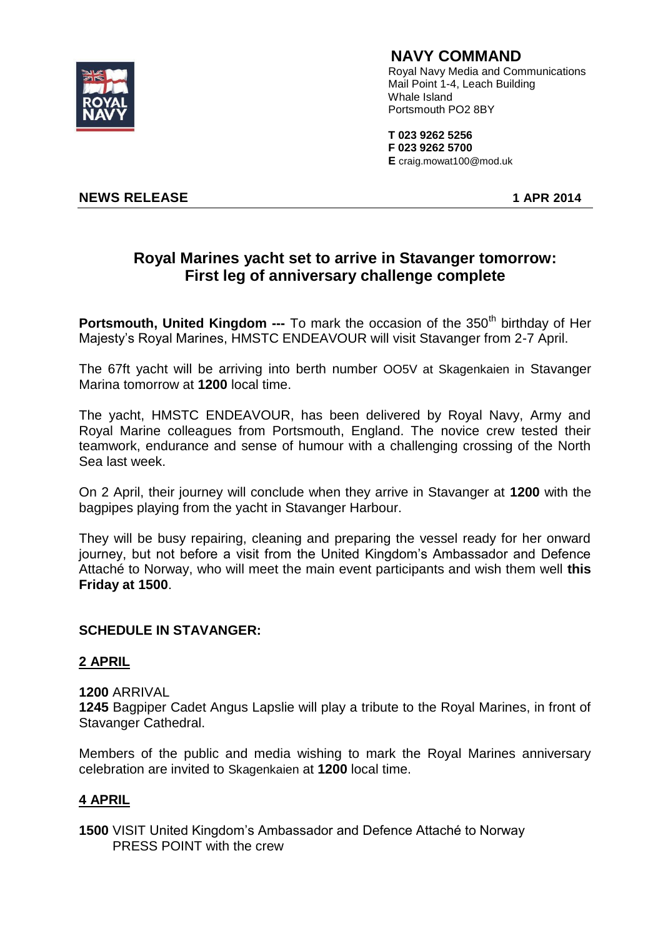

## **NAVY COMMAND**

 Royal Navy Media and Communications Mail Point 1-4, Leach Building Whale Island Portsmouth PO2 8BY

 **T 023 9262 5256 F 023 9262 5700 E** craig.mowat100@mod.uk

**NEWS RELEASE 1 APR 2014**

# **Royal Marines yacht set to arrive in Stavanger tomorrow: First leg of anniversary challenge complete**

**Portsmouth, United Kingdom ---** To mark the occasion of the 350<sup>th</sup> birthday of Her Majesty's Royal Marines, HMSTC ENDEAVOUR will visit Stavanger from 2-7 April.

The 67ft yacht will be arriving into berth number OO5V at Skagenkaien in Stavanger Marina tomorrow at **1200** local time.

The yacht, HMSTC ENDEAVOUR, has been delivered by Royal Navy, Army and Royal Marine colleagues from Portsmouth, England. The novice crew tested their teamwork, endurance and sense of humour with a challenging crossing of the North Sea last week.

On 2 April, their journey will conclude when they arrive in Stavanger at **1200** with the bagpipes playing from the yacht in Stavanger Harbour.

They will be busy repairing, cleaning and preparing the vessel ready for her onward journey, but not before a visit from the United Kingdom's Ambassador and Defence Attaché to Norway, who will meet the main event participants and wish them well **this Friday at 1500**.

### **SCHEDULE IN STAVANGER:**

### **2 APRIL**

**1200** ARRIVAL

**1245** Bagpiper Cadet Angus Lapslie will play a tribute to the Royal Marines, in front of Stavanger Cathedral.

Members of the public and media wishing to mark the Royal Marines anniversary celebration are invited to Skagenkaien at **1200** local time.

## **4 APRIL**

**1500** VISIT United Kingdom's Ambassador and Defence Attaché to Norway PRESS POINT with the crew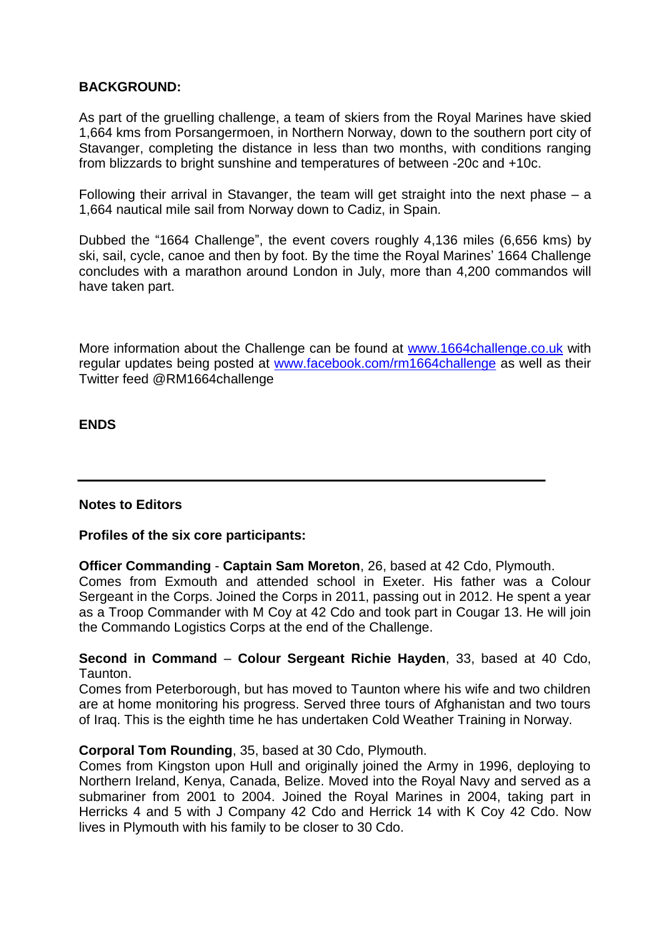### **BACKGROUND:**

As part of the gruelling challenge, a team of skiers from the Royal Marines have skied 1,664 kms from Porsangermoen, in Northern Norway, down to the southern port city of Stavanger, completing the distance in less than two months, with conditions ranging from blizzards to bright sunshine and temperatures of between -20c and +10c.

Following their arrival in Stavanger, the team will get straight into the next phase – a 1,664 nautical mile sail from Norway down to Cadiz, in Spain.

Dubbed the "1664 Challenge", the event covers roughly 4,136 miles (6,656 kms) by ski, sail, cycle, canoe and then by foot. By the time the Royal Marines' 1664 Challenge concludes with a marathon around London in July, more than 4,200 commandos will have taken part.

More information about the Challenge can be found at [www.1664challenge.co.uk](http://www.1664challenge.co.uk/) with regular updates being posted at [www.facebook.com/rm1664challenge](http://www.facebook.com/rm1664challenge) as well as their Twitter feed @RM1664challenge

### **ENDS**

### **Notes to Editors**

### **Profiles of the six core participants:**

**Officer Commanding** - **Captain Sam Moreton**, 26, based at 42 Cdo, Plymouth. Comes from Exmouth and attended school in Exeter. His father was a Colour Sergeant in the Corps. Joined the Corps in 2011, passing out in 2012. He spent a year as a Troop Commander with M Coy at 42 Cdo and took part in Cougar 13. He will join the Commando Logistics Corps at the end of the Challenge.

**Second in Command** – **Colour Sergeant Richie Hayden**, 33, based at 40 Cdo, Taunton.

Comes from Peterborough, but has moved to Taunton where his wife and two children are at home monitoring his progress. Served three tours of Afghanistan and two tours of Iraq. This is the eighth time he has undertaken Cold Weather Training in Norway.

#### **Corporal Tom Rounding**, 35, based at 30 Cdo, Plymouth.

Comes from Kingston upon Hull and originally joined the Army in 1996, deploying to Northern Ireland, Kenya, Canada, Belize. Moved into the Royal Navy and served as a submariner from 2001 to 2004. Joined the Royal Marines in 2004, taking part in Herricks 4 and 5 with J Company 42 Cdo and Herrick 14 with K Coy 42 Cdo. Now lives in Plymouth with his family to be closer to 30 Cdo.